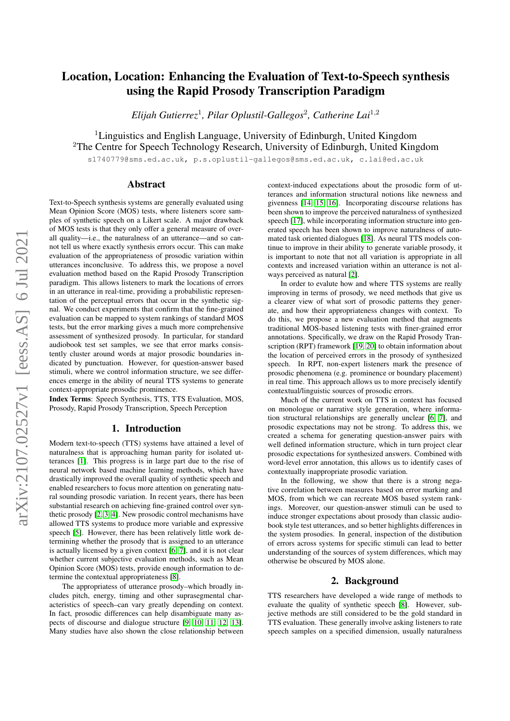# Location, Location: Enhancing the Evaluation of Text-to-Speech synthesis using the Rapid Prosody Transcription Paradigm

*Elijah Gutierrez*<sup>1</sup> *, Pilar Oplustil-Gallegos*<sup>2</sup> *, Catherine Lai*<sup>1</sup>,<sup>2</sup>

<sup>1</sup>Linguistics and English Language, University of Edinburgh, United Kingdom <sup>2</sup>The Centre for Speech Technology Research, University of Edinburgh, United Kingdom

s1740779@sms.ed.ac.uk, p.s.oplustil-gallegos@sms.ed.ac.uk, c.lai@ed.ac.uk

## Abstract

Text-to-Speech synthesis systems are generally evaluated using Mean Opinion Score (MOS) tests, where listeners score samples of synthetic speech on a Likert scale. A major drawback of MOS tests is that they only offer a general measure of overall quality—i.e., the naturalness of an utterance—and so cannot tell us where exactly synthesis errors occur. This can make evaluation of the appropriateness of prosodic variation within utterances inconclusive. To address this, we propose a novel evaluation method based on the Rapid Prosody Transcription paradigm. This allows listeners to mark the locations of errors in an utterance in real-time, providing a probabilistic representation of the perceptual errors that occur in the synthetic signal. We conduct experiments that confirm that the fine-grained evaluation can be mapped to system rankings of standard MOS tests, but the error marking gives a much more comprehensive assessment of synthesized prosody. In particular, for standard audiobook test set samples, we see that error marks consistently cluster around words at major prosodic boundaries indicated by punctuation. However, for question-answer based stimuli, where we control information structure, we see differences emerge in the ability of neural TTS systems to generate context-appropriate prosodic prominence.

Index Terms: Speech Synthesis, TTS, TTS Evaluation, MOS, Prosody, Rapid Prosody Transcription, Speech Perception

## 1. Introduction

Modern text-to-speech (TTS) systems have attained a level of naturalness that is approaching human parity for isolated utterances [\[1\]](#page-5-0). This progress is in large part due to the rise of neural network based machine learning methods, which have drastically improved the overall quality of synthetic speech and enabled researchers to focus more attention on generating natural sounding prosodic variation. In recent years, there has been substantial research on achieving fine-grained control over synthetic prosody [\[2,](#page-5-1) [3,](#page-5-2) [4\]](#page-5-3). New prosodic control mechanisms have allowed TTS systems to produce more variable and expressive speech [\[5\]](#page-5-4). However, there has been relatively little work determining whether the prosody that is assigned to an utterance is actually licensed by a given context [\[6,](#page-5-5) [7\]](#page-5-6), and it is not clear whether current subjective evaluation methods, such as Mean Opinion Score (MOS) tests, provide enough information to determine the contextual appropriateness [\[8\]](#page-5-7).

The appropriatess of utterance prosody–which broadly includes pitch, energy, timing and other suprasegmental characteristics of speech–can vary greatly depending on context. In fact, prosodic differences can help disambiguate many aspects of discourse and dialogue structure [\[9,](#page-5-8) [10,](#page-5-9) [11,](#page-5-10) [12,](#page-5-11) [13\]](#page-5-12). Many studies have also shown the close relationship between

context-induced expectations about the prosodic form of utterances and information structural notions like newness and givenness [\[14,](#page-5-13) [15,](#page-5-14) [16\]](#page-5-15). Incorporating discourse relations has been shown to improve the perceived naturalness of synthesized speech [\[17\]](#page-5-16), while incorporating information structure into generated speech has been shown to improve naturalness of automated task oriented dialogues [\[18\]](#page-5-17). As neural TTS models continue to improve in their ability to generate variable prosody, it is important to note that not all variation is appropriate in all contexts and increased variation within an utterance is not always perceived as natural [\[2\]](#page-5-1).

In order to evalute how and where TTS systems are really improving in terms of prosody, we need methods that give us a clearer view of what sort of prosodic patterns they generate, and how their appropriateness changes with context. To do this, we propose a new evaluation method that augments traditional MOS-based listening tests with finer-grained error annotations. Specifically, we draw on the Rapid Prosody Tran-scription (RPT) framework [\[19,](#page-5-18) [20\]](#page-5-19) to obtain information about the location of perceived errors in the prosody of synthesized speech. In RPT, non-expert listeners mark the presence of prosodic phenomena (e.g. prominence or boundary placement) in real time. This approach allows us to more precisely identify contextual/linguistic sources of prosodic errors.

Much of the current work on TTS in context has focused on monologue or narrative style generation, where information structural relationships are generally unclear [\[6,](#page-5-5) [7\]](#page-5-6), and prosodic expectations may not be strong. To address this, we created a schema for generating question-answer pairs with well defined information structure, which in turn project clear prosodic expectations for synthesized answers. Combined with word-level error annotation, this allows us to identify cases of contextually inappropriate prosodic variation.

In the following, we show that there is a strong negative correlation between measures based on error marking and MOS, from which we can recreate MOS based system rankings. Moreover, our question-answer stimuli can be used to induce stronger expectations about prosody than classic audiobook style test utterances, and so better highlights differences in the system prosodies. In general, inspection of the distibution of errors across systems for specific stimuli can lead to better understanding of the sources of system differences, which may otherwise be obscured by MOS alone.

#### 2. Background

TTS researchers have developed a wide range of methods to evaluate the quality of synthetic speech [\[8\]](#page-5-7). However, subjective methods are still considered to be the gold standard in TTS evaluation. These generally involve asking listeners to rate speech samples on a specified dimension, usually naturalness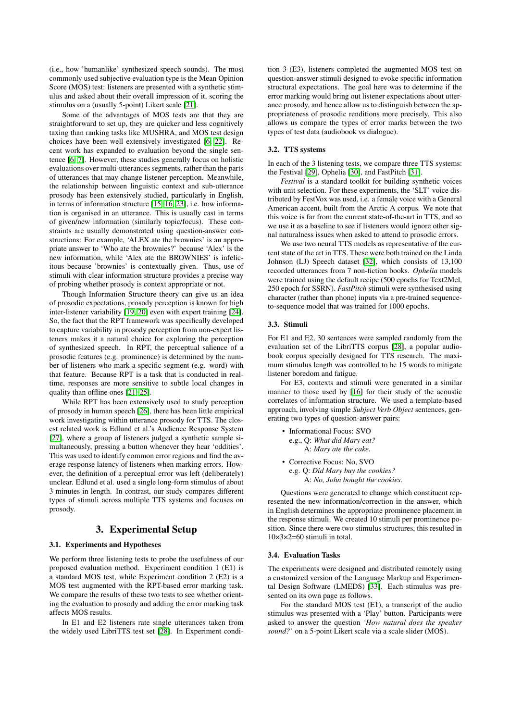(i.e., how 'humanlike' synthesized speech sounds). The most commonly used subjective evaluation type is the Mean Opinion Score (MOS) test: listeners are presented with a synthetic stimulus and asked about their overall impression of it, scoring the stimulus on a (usually 5-point) Likert scale [\[21\]](#page-5-20).

Some of the advantages of MOS tests are that they are straightforward to set up, they are quicker and less cognitively taxing than ranking tasks like MUSHRA, and MOS test design choices have been well extensively investigated [\[6,](#page-5-5) [22\]](#page-5-21). Recent work has expanded to evaluation beyond the single sentence [\[6,](#page-5-5) [7\]](#page-5-6). However, these studies generally focus on holistic evaluations over multi-utterances segments, rather than the parts of utterances that may change listener perception. Meanwhile, the relationship between linguistic context and sub-utterance prosody has been extensively studied, particularly in English, in terms of information structure [\[15,](#page-5-14) [16,](#page-5-15) [23\]](#page-5-22), i.e. how information is organised in an utterance. This is usually cast in terms of given/new information (similarly topic/focus). These constraints are usually demonstrated using question-answer constructions: For example, 'ALEX ate the brownies' is an appropriate answer to 'Who ate the brownies?' because 'Alex' is the new information, while 'Alex ate the BROWNIES' is infelicitous because 'brownies' is contextually given. Thus, use of stimuli with clear information structure provides a precise way of probing whether prosody is context appropriate or not.

Though Information Structure theory can give us an idea of prosodic expectations, prosody perception is known for high inter-listener variability [\[19,](#page-5-18) [20\]](#page-5-19) even with expert training [\[24\]](#page-5-23). So, the fact that the RPT framework was specifically developed to capture variability in prosody perception from non-expert listeners makes it a natural choice for exploring the perception of synthesized speech. In RPT, the perceptual salience of a prosodic features (e.g. prominence) is determined by the number of listeners who mark a specific segment (e.g. word) with that feature. Because RPT is a task that is conducted in realtime, responses are more sensitive to subtle local changes in quality than offline ones [\[21,](#page-5-20) [25\]](#page-5-24).

While RPT has been extensively used to study perception of prosody in human speech [\[26\]](#page-5-25), there has been little empirical work investigating within utterance prosody for TTS. The closest related work is Edlund et al.'s Audience Response System [\[27\]](#page-5-26), where a group of listeners judged a synthetic sample simultaneously, pressing a button whenever they hear 'oddities'. This was used to identify common error regions and find the average response latency of listeners when marking errors. However, the definition of a perceptual error was left (deliberately) unclear. Edlund et al. used a single long-form stimulus of about 3 minutes in length. In contrast, our study compares different types of stimuli across multiple TTS systems and focuses on prosody.

## 3. Experimental Setup

#### 3.1. Experiments and Hypotheses

We perform three listening tests to probe the usefulness of our proposed evaluation method. Experiment condition 1 (E1) is a standard MOS test, while Experiment condition 2 (E2) is a MOS test augmented with the RPT-based error marking task. We compare the results of these two tests to see whether orienting the evaluation to prosody and adding the error marking task affects MOS results.

In E1 and E2 listeners rate single utterances taken from the widely used LibriTTS test set [\[28\]](#page-5-27). In Experiment condition 3 (E3), listeners completed the augmented MOS test on question-answer stimuli designed to evoke specific information structural expectations. The goal here was to determine if the error marking would bring out listener expectations about utterance prosody, and hence allow us to distinguish between the appropriateness of prosodic renditions more precisely. This also allows us compare the types of error marks between the two types of test data (audiobook vs dialogue).

#### 3.2. TTS systems

In each of the 3 listening tests, we compare three TTS systems: the Festival [\[29\]](#page-5-28), Ophelia [\[30\]](#page-5-29), and FastPitch [\[31\]](#page-5-30).

*Festival* is a standard toolkit for building synthetic voices with unit selection. For these experiments, the 'SLT' voice distributed by FestVox was used, i.e. a female voice with a General American accent, built from the Arctic A corpus. We note that this voice is far from the current state-of-the-art in TTS, and so we use it as a baseline to see if listeners would ignore other signal naturalness issues when asked to attend to prosodic errors.

We use two neural TTS models as representative of the current state of the art in TTS. These were both trained on the Linda Johnson (LJ) Speech dataset [\[32\]](#page-5-31), which consists of 13,100 recorded utterances from 7 non-fiction books. *Ophelia* models were trained using the default recipe (500 epochs for Text2Mel, 250 epoch for SSRN). *FastPitch* stimuli were synthesised using character (rather than phone) inputs via a pre-trained sequenceto-sequence model that was trained for 1000 epochs.

#### 3.3. Stimuli

For E1 and E2, 30 sentences were sampled randomly from the evaluation set of the LibriTTS corpus [\[28\]](#page-5-27), a popular audiobook corpus specially designed for TTS research. The maximum stimulus length was controlled to be 15 words to mitigate listener boredom and fatigue.

For E3, contexts and stimuli were generated in a similar manner to those used by [\[16\]](#page-5-15) for their study of the acoustic correlates of information structure. We used a template-based approach, involving simple *Subject Verb Object* sentences, generating two types of question-answer pairs:

- Informational Focus: SVO e.g., Q: *What did Mary eat?* A: *Mary ate the cake.*
- Corrective Focus: No, SVO e.g. Q: *Did Mary buy the cookies?* A: *No, John bought the cookies.*

Questions were generated to change which constituent represented the new information/correction in the answer, which in English determines the appropriate prominence placement in the response stimuli. We created 10 stimuli per prominence position. Since there were two stimulus structures, this resulted in  $10\times3\times2=60$  stimuli in total.

#### 3.4. Evaluation Tasks

The experiments were designed and distributed remotely using a customized version of the Language Markup and Experimental Design Software (LMEDS) [\[33\]](#page-5-32). Each stimulus was presented on its own page as follows.

For the standard MOS test (E1), a transcript of the audio stimulus was presented with a 'Play' button. Participants were asked to answer the question *'How natural does the speaker sound?'* on a 5-point Likert scale via a scale slider (MOS).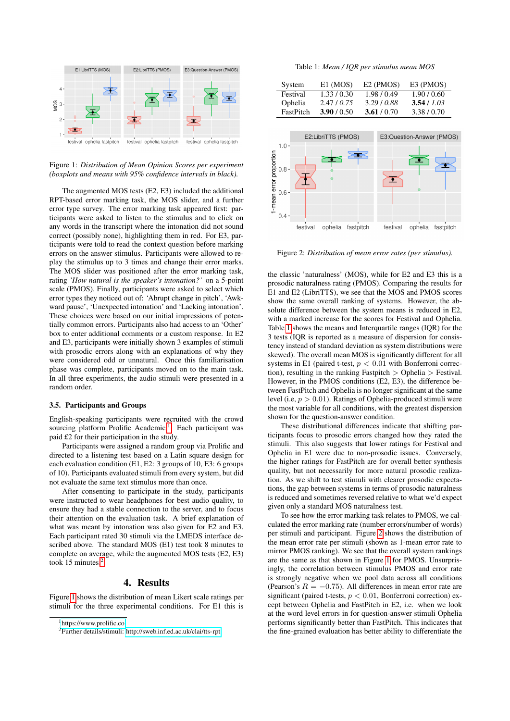<span id="page-2-2"></span>

Figure 1: *Distribution of Mean Opinion Scores per experiment (boxplots and means with 95% confidence intervals in black).*

The augmented MOS tests (E2, E3) included the additional RPT-based error marking task, the MOS slider, and a further error type survey. The error marking task appeared first: participants were asked to listen to the stimulus and to click on any words in the transcript where the intonation did not sound correct (possibly none), highlighting them in red. For E3, participants were told to read the context question before marking errors on the answer stimulus. Participants were allowed to replay the stimulus up to 3 times and change their error marks. The MOS slider was positioned after the error marking task, rating *'How natural is the speaker's intonation?'* on a 5-point scale (PMOS). Finally, participants were asked to select which error types they noticed out of: 'Abrupt change in pitch', 'Awkward pause', 'Unexpected intonation' and 'Lacking intonation'. These choices were based on our initial impressions of potentially common errors. Participants also had access to an 'Other' box to enter additional comments or a custom response. In E2 and E3, participants were initially shown 3 examples of stimuli with prosodic errors along with an explanations of why they were considered odd or unnatural. Once this familiarisation phase was complete, participants moved on to the main task. In all three experiments, the audio stimuli were presented in a random order.

#### 3.5. Participants and Groups

English-speaking participants were recruited with the crowd sourcing platform Prolific Academic.<sup>[1](#page-2-0)</sup> Each participant was paid £2 for their participation in the study.

Participants were assigned a random group via Prolific and directed to a listening test based on a Latin square design for each evaluation condition (E1, E2: 3 groups of 10, E3: 6 groups of 10). Participants evaluated stimuli from every system, but did not evaluate the same text stimulus more than once.

After consenting to participate in the study, participants were instructed to wear headphones for best audio quality, to ensure they had a stable connection to the server, and to focus their attention on the evaluation task. A brief explanation of what was meant by intonation was also given for E2 and E3. Each participant rated 30 stimuli via the LMEDS interface described above. The standard MOS (E1) test took 8 minutes to complete on average, while the augmented MOS tests (E2, E3) took 15 minutes. $\frac{2}{3}$  $\frac{2}{3}$  $\frac{2}{3}$ 

### 4. Results

Figure [1](#page-2-2) shows the distribution of mean Likert scale ratings per stimuli for the three experimental conditions. For E1 this is

Table 1: *Mean / IQR per stimulus mean MOS*

<span id="page-2-3"></span>

| System    | $E1$ (MOS)  | $E2$ (PMOS) | E3 (PMOS)   |
|-----------|-------------|-------------|-------------|
| Festival  | 1.33/0.30   | 1.98/0.49   | 1.90 / 0.60 |
| Ophelia   | 2.47/0.75   | 3.29/0.88   | 3.54/1.03   |
| FastPitch | 3.90 / 0.50 | 3.61/0.70   | 3.38/0.70   |

<span id="page-2-4"></span>

Figure 2: *Distribution of mean error rates (per stimulus).*

the classic 'naturalness' (MOS), while for E2 and E3 this is a prosodic naturalness rating (PMOS). Comparing the results for E1 and E2 (LibriTTS), we see that the MOS and PMOS scores show the same overall ranking of systems. However, the absolute difference between the system means is reduced in E2, with a marked increase for the scores for Festival and Ophelia. Table [1](#page-2-3) shows the means and Interquartile ranges (IQR) for the 3 tests (IQR is reported as a measure of dispersion for consistency instead of standard deviation as system distributions were skewed). The overall mean MOS is significantly different for all systems in E1 (paired t-test,  $p < 0.01$  with Bonferroni correction), resulting in the ranking Fastpitch  $>$  Ophelia  $>$  Festival. However, in the PMOS conditions (E2, E3), the difference between FastPitch and Ophelia is no longer significant at the same level (i.e,  $p > 0.01$ ). Ratings of Ophelia-produced stimuli were the most variable for all conditions, with the greatest dispersion shown for the question-answer condition.

These distributional differences indicate that shifting participants focus to prosodic errors changed how they rated the stimuli. This also suggests that lower ratings for Festival and Ophelia in E1 were due to non-prosodic issues. Conversely, the higher ratings for FastPitch are for overall better synthesis quality, but not necessarily for more natural prosodic realization. As we shift to test stimuli with clearer prosodic expectations, the gap between systems in terms of prosodic naturalness is reduced and sometimes reversed relative to what we'd expect given only a standard MOS naturalness test.

To see how the error marking task relates to PMOS, we calculated the error marking rate (number errors/number of words) per stimuli and participant. Figure [2](#page-2-4) shows the distribution of the mean error rate per stimuli (shown as 1-mean error rate to mirror PMOS ranking). We see that the overall system rankings are the same as that shown in Figure [1](#page-2-2) for PMOS. Unsurprisingly, the correlation between stimulus PMOS and error rate is strongly negative when we pool data across all conditions (Pearson's  $R = -0.75$ ). All differences in mean error rate are significant (paired t-tests,  $p < 0.01$ , Bonferroni correction) except between Ophelia and FastPitch in E2, i.e. when we look at the word level errors in for question-answer stimuli Ophelia performs significantly better than FastPitch. This indicates that the fine-grained evaluation has better ability to differentiate the

<span id="page-2-0"></span> $1$ <https://www.prolific.co>

<span id="page-2-1"></span><sup>2</sup>Further details/stimuli:<http://sweb.inf.ed.ac.uk/clai/tts-rpt>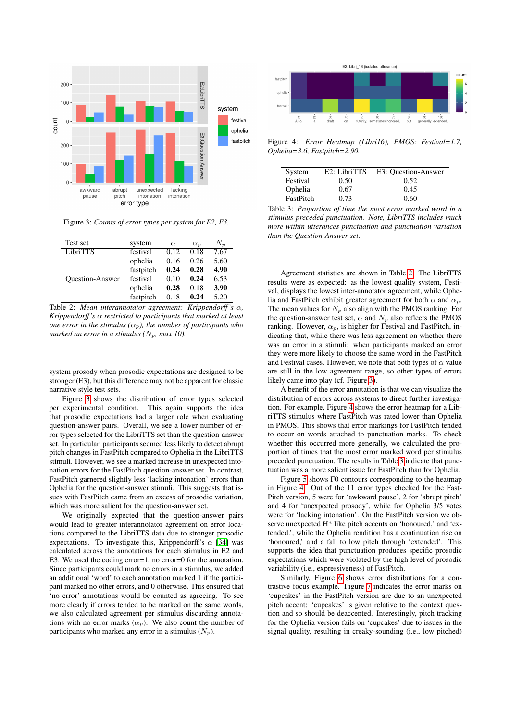<span id="page-3-0"></span>

Figure 3: *Counts of error types per system for E2, E3.*

<span id="page-3-1"></span>

| Test set               | system    | $\alpha$ | $\alpha_n$ | $N_{p}$ |
|------------------------|-----------|----------|------------|---------|
| LibriTTS               | festival  | 0.12     | 0.18       | 7.67    |
|                        | ophelia   | 0.16     | 0.26       | 5.60    |
|                        | fastpitch | 0.24     | 0.28       | 4.90    |
| <b>Ouestion-Answer</b> | festival  | 0.10     | 0.24       | 6.53    |
|                        | ophelia   | 0.28     | 0.18       | 3.90    |
|                        | fastpitch | 0.18     | 0.24       | 5.20    |

Table 2: *Mean interannotator agreement: Krippendorff 's* α*, Krippendorff 's* α *restricted to participants that marked at least one error in the stimulus*  $(\alpha_p)$ *, the number of participants who marked an error in a stimulus (* $N_p$ *, max 10).* 

system prosody when prosodic expectations are designed to be stronger (E3), but this difference may not be apparent for classic narrative style test sets.

Figure [3](#page-3-0) shows the distribution of error types selected per experimental condition. This again supports the idea that prosodic expectations had a larger role when evaluating question-answer pairs. Overall, we see a lower number of error types selected for the LibriTTS set than the question-answer set. In particular, participants seemed less likely to detect abrupt pitch changes in FastPitch compared to Ophelia in the LibriTTS stimuli. However, we see a marked increase in unexpected intonation errors for the FastPitch question-answer set. In contrast, FastPitch garnered slightly less 'lacking intonation' errors than Ophelia for the question-answer stimuli. This suggests that issues with FastPitch came from an excess of prosodic variation, which was more salient for the question-answer set.

We originally expected that the question-answer pairs would lead to greater interannotator agreement on error locations compared to the LibriTTS data due to stronger prosodic expectations. To investigate this, Krippendorff's  $\alpha$  [\[34\]](#page-5-33) was calculated across the annotations for each stimulus in E2 and E3. We used the coding error=1, no error=0 for the annotation. Since participants could mark no errors in a stimulus, we added an additional 'word' to each annotation marked 1 if the participant marked no other errors, and 0 otherwise. This ensured that 'no error' annotations would be counted as agreeing. To see more clearly if errors tended to be marked on the same words, we also calculated agreement per stimulus discarding annotations with no error marks  $(\alpha_p)$ . We also count the number of participants who marked any error in a stimulus  $(N_p)$ .

<span id="page-3-2"></span>

Figure 4: *Error Heatmap (Libri16), PMOS: Festival=1.7, Ophelia=3.6, Fastpitch=2.90.*

<span id="page-3-3"></span>

| System    | E <sub>2</sub> : LibriTTS | E3: Question-Answer |
|-----------|---------------------------|---------------------|
| Festival  | 0.50                      | 0.52                |
| Ophelia   | 0.67                      | 0.45                |
| FastPitch | 0.73                      | 0.60                |

Table 3: *Proportion of time the most error marked word in a stimulus preceded punctuation. Note, LibriTTS includes much more within utterances punctuation and punctuation variation than the Question-Answer set.*

Agreement statistics are shown in Table [2.](#page-3-1) The LibriTTS results were as expected: as the lowest quality system, Festival, displays the lowest inter-annotator agreement, while Ophelia and FastPitch exhibit greater agreement for both  $\alpha$  and  $\alpha_p$ . The mean values for  $N_p$  also align with the PMOS ranking. For the question-answer test set,  $\alpha$  and  $N_p$  also reflects the PMOS ranking. However,  $\alpha_p$ , is higher for Festival and FastPitch, indicating that, while there was less agreement on whether there was an error in a stimuli: when participants marked an error they were more likely to choose the same word in the FastPitch and Festival cases. However, we note that both types of  $\alpha$  value are still in the low agreement range, so other types of errors likely came into play (cf. Figure [3\)](#page-3-0).

A benefit of the error annotation is that we can visualize the distribution of errors across systems to direct further investigation. For example, Figure [4](#page-3-2) shows the error heatmap for a LibriTTS stimulus where FastPitch was rated lower than Ophelia in PMOS. This shows that error markings for FastPitch tended to occur on words attached to punctuation marks. To check whether this occurred more generally, we calculated the proportion of times that the most error marked word per stimulus preceded punctuation. The results in Table [3](#page-3-3) indicate that punctuation was a more salient issue for FastPitch than for Ophelia.

Figure [5](#page-4-0) shows F0 contours corresponding to the heatmap in Figure [4.](#page-3-2) Out of the 11 error types checked for the Fast-Pitch version, 5 were for 'awkward pause', 2 for 'abrupt pitch' and 4 for 'unexpected prosody', while for Ophelia 3/5 votes were for 'lacking intonation'. On the FastPitch version we observe unexpected H\* like pitch accents on 'honoured,' and 'extended.', while the Ophelia rendition has a continuation rise on 'honoured,' and a fall to low pitch through 'extended'. This supports the idea that punctuation produces specific prosodic expectations which were violated by the high level of prosodic variability (i.e., expressiveness) of FastPitch.

Similarly, Figure [6](#page-4-1) shows error distributions for a contrastive focus example. Figure [7](#page-4-2) indicates the error marks on 'cupcakes' in the FastPitch version are due to an unexpected pitch accent: 'cupcakes' is given relative to the context question and so should be deaccented. Interestingly, pitch tracking for the Ophelia version fails on 'cupcakes' due to issues in the signal quality, resulting in creaky-sounding (i.e., low pitched)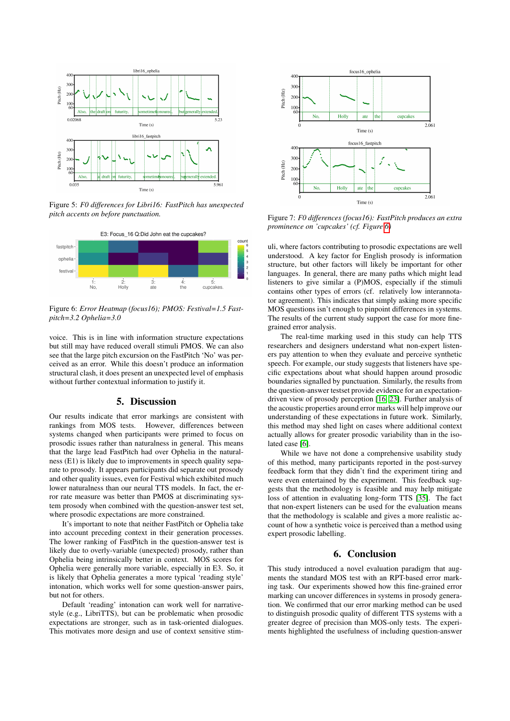<span id="page-4-0"></span>

Figure 5: *F0 differences for Libri16: FastPitch has unexpected pitch accents on before punctuation.*

<span id="page-4-1"></span>

Figure 6: *Error Heatmap (focus16); PMOS: Festival=1.5 Fastpitch=3.2 Ophelia=3.0*

voice. This is in line with information structure expectations but still may have reduced overall stimuli PMOS. We can also see that the large pitch excursion on the FastPitch 'No' was perceived as an error. While this doesn't produce an information structural clash, it does present an unexpected level of emphasis without further contextual information to justify it.

## 5. Discussion

Our results indicate that error markings are consistent with rankings from MOS tests. However, differences between systems changed when participants were primed to focus on prosodic issues rather than naturalness in general. This means that the large lead FastPitch had over Ophelia in the naturalness (E1) is likely due to improvements in speech quality separate to prosody. It appears participants did separate out prosody and other quality issues, even for Festival which exhibited much lower naturalness than our neural TTS models. In fact, the error rate measure was better than PMOS at discriminating system prosody when combined with the question-answer test set, where prosodic expectations are more constrained.

It's important to note that neither FastPitch or Ophelia take into account preceding context in their generation processes. The lower ranking of FastPitch in the question-answer test is likely due to overly-variable (unexpected) prosody, rather than Ophelia being intrinsically better in context. MOS scores for Ophelia were generally more variable, especially in E3. So, it is likely that Ophelia generates a more typical 'reading style' intonation, which works well for some question-answer pairs, but not for others.

Default 'reading' intonation can work well for narrativestyle (e.g., LibriTTS), but can be problematic when prosodic expectations are stronger, such as in task-oriented dialogues. This motivates more design and use of context sensitive stim-

<span id="page-4-2"></span>

Figure 7: *F0 differences (focus16): FastPitch produces an extra prominence on 'cupcakes' (cf. Figure [6\)](#page-4-1)*

uli, where factors contributing to prosodic expectations are well understood. A key factor for English prosody is information structure, but other factors will likely be important for other languages. In general, there are many paths which might lead listeners to give similar a (P)MOS, especially if the stimuli contains other types of errors (cf. relatively low interannotator agreement). This indicates that simply asking more specific MOS questions isn't enough to pinpoint differences in systems. The results of the current study support the case for more finegrained error analysis.

The real-time marking used in this study can help TTS researchers and designers understand what non-expert listeners pay attention to when they evaluate and perceive synthetic speech. For example, our study suggests that listeners have specific expectations about what should happen around prosodic boundaries signalled by punctuation. Similarly, the results from the question-answer testset provide evidence for an expectationdriven view of prosody perception [\[16,](#page-5-15) [23\]](#page-5-22). Further analysis of the acoustic properties around error marks will help improve our understanding of these expectations in future work. Similarly, this method may shed light on cases where additional context actually allows for greater prosodic variability than in the isolated case [\[6\]](#page-5-5).

While we have not done a comprehensive usability study of this method, many participants reported in the post-survey feedback form that they didn't find the experiment tiring and were even entertained by the experiment. This feedback suggests that the methodology is feasible and may help mitigate loss of attention in evaluating long-form TTS [\[35\]](#page-5-34). The fact that non-expert listeners can be used for the evaluation means that the methodology is scalable and gives a more realistic account of how a synthetic voice is perceived than a method using expert prosodic labelling.

## 6. Conclusion

This study introduced a novel evaluation paradigm that augments the standard MOS test with an RPT-based error marking task. Our experiments showed how this fine-grained error marking can uncover differences in systems in prosody generation. We confirmed that our error marking method can be used to distinguish prosodic quality of different TTS systems with a greater degree of precision than MOS-only tests. The experiments highlighted the usefulness of including question-answer